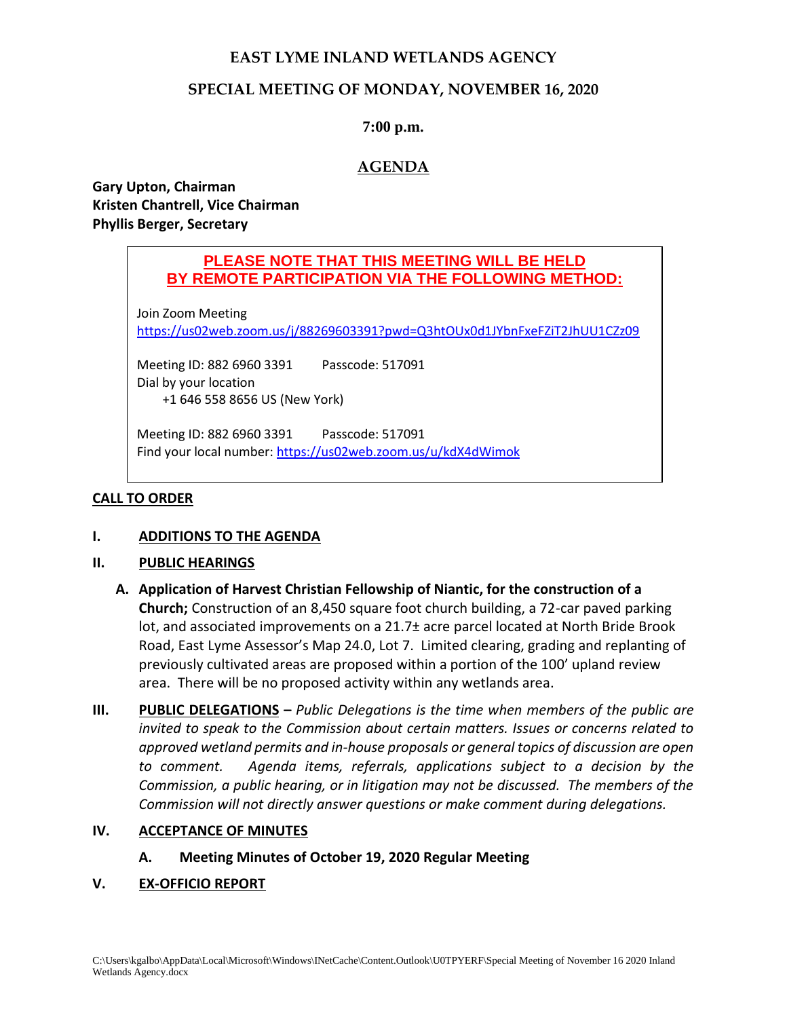# **EAST LYME INLAND WETLANDS AGENCY**

# **SPECIAL MEETING OF MONDAY, NOVEMBER 16, 2020**

## **7:00 p.m.**

# **AGENDA**

**Gary Upton, Chairman Kristen Chantrell, Vice Chairman Phyllis Berger, Secretary**

# **PLEASE NOTE THAT THIS MEETING WILL BE HELD BY REMOTE PARTICIPATION VIA THE FOLLOWING METHOD:**

Join Zoom Meeting <https://us02web.zoom.us/j/88269603391?pwd=Q3htOUx0d1JYbnFxeFZiT2JhUU1CZz09>

Meeting ID: 882 6960 3391 Passcode: 517091 Dial by your location +1 646 558 8656 US (New York)

Meeting ID: 882 6960 3391 Passcode: 517091 Find your local number:<https://us02web.zoom.us/u/kdX4dWimok>

### **CALL TO ORDER**

#### **I. ADDITIONS TO THE AGENDA**

#### **II. PUBLIC HEARINGS**

- **A. Application of Harvest Christian Fellowship of Niantic, for the construction of a Church;** Construction of an 8,450 square foot church building, a 72-car paved parking lot, and associated improvements on a 21.7± acre parcel located at North Bride Brook Road, East Lyme Assessor's Map 24.0, Lot 7. Limited clearing, grading and replanting of previously cultivated areas are proposed within a portion of the 100' upland review area. There will be no proposed activity within any wetlands area.
- **III. PUBLIC DELEGATIONS –** *Public Delegations is the time when members of the public are invited to speak to the Commission about certain matters. Issues or concerns related to approved wetland permits and in-house proposals or general topics of discussion are open to comment. Agenda items, referrals, applications subject to a decision by the Commission, a public hearing, or in litigation may not be discussed. The members of the Commission will not directly answer questions or make comment during delegations.*

#### **IV. ACCEPTANCE OF MINUTES**

#### **A. Meeting Minutes of October 19, 2020 Regular Meeting**

#### **V. EX-OFFICIO REPORT**